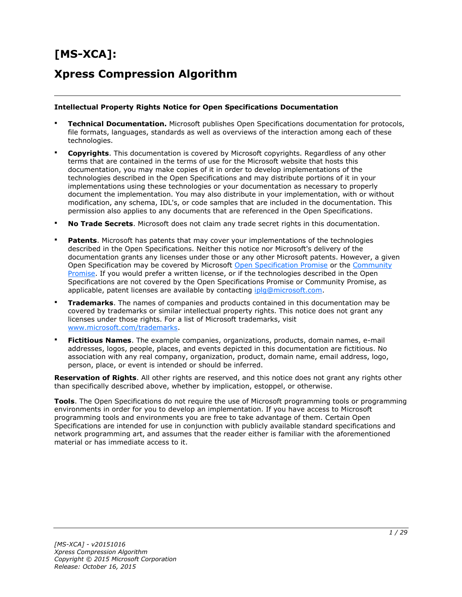# **[MS-XCA]:**

# **Xpress Compression Algorithm**

#### **Intellectual Property Rights Notice for Open Specifications Documentation**

- **Technical Documentation.** Microsoft publishes Open Specifications documentation for protocols, file formats, languages, standards as well as overviews of the interaction among each of these technologies.
- **Copyrights**. This documentation is covered by Microsoft copyrights. Regardless of any other terms that are contained in the terms of use for the Microsoft website that hosts this documentation, you may make copies of it in order to develop implementations of the technologies described in the Open Specifications and may distribute portions of it in your implementations using these technologies or your documentation as necessary to properly document the implementation. You may also distribute in your implementation, with or without modification, any schema, IDL's, or code samples that are included in the documentation. This permission also applies to any documents that are referenced in the Open Specifications.
- **No Trade Secrets**. Microsoft does not claim any trade secret rights in this documentation.
- **Patents**. Microsoft has patents that may cover your implementations of the technologies described in the Open Specifications. Neither this notice nor Microsoft's delivery of the documentation grants any licenses under those or any other Microsoft patents. However, a given Open Specification may be covered by Microsoft [Open Specification Promise](http://go.microsoft.com/fwlink/?LinkId=214445) or the Community [Promise.](http://go.microsoft.com/fwlink/?LinkId=214448) If you would prefer a written license, or if the technologies described in the Open Specifications are not covered by the Open Specifications Promise or Community Promise, as applicable, patent licenses are available by contacting [iplg@microsoft.com.](mailto:iplg@microsoft.com)
- **Trademarks**. The names of companies and products contained in this documentation may be covered by trademarks or similar intellectual property rights. This notice does not grant any licenses under those rights. For a list of Microsoft trademarks, visit [www.microsoft.com/trademarks.](http://www.microsoft.com/trademarks)
- **Fictitious Names**. The example companies, organizations, products, domain names, e-mail addresses, logos, people, places, and events depicted in this documentation are fictitious. No association with any real company, organization, product, domain name, email address, logo, person, place, or event is intended or should be inferred.

**Reservation of Rights**. All other rights are reserved, and this notice does not grant any rights other than specifically described above, whether by implication, estoppel, or otherwise.

**Tools**. The Open Specifications do not require the use of Microsoft programming tools or programming environments in order for you to develop an implementation. If you have access to Microsoft programming tools and environments you are free to take advantage of them. Certain Open Specifications are intended for use in conjunction with publicly available standard specifications and network programming art, and assumes that the reader either is familiar with the aforementioned material or has immediate access to it.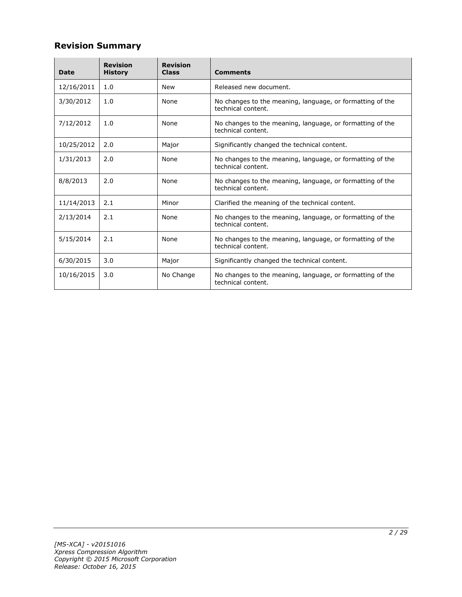## **Revision Summary**

| <b>Date</b> | <b>Revision</b><br><b>History</b> | <b>Revision</b><br><b>Class</b> | <b>Comments</b>                                                                 |
|-------------|-----------------------------------|---------------------------------|---------------------------------------------------------------------------------|
| 12/16/2011  | 1.0                               | New                             | Released new document.                                                          |
| 3/30/2012   | 1.0                               | None                            | No changes to the meaning, language, or formatting of the<br>technical content. |
| 7/12/2012   | 1.0                               | None                            | No changes to the meaning, language, or formatting of the<br>technical content. |
| 10/25/2012  | 2.0                               | Major                           | Significantly changed the technical content.                                    |
| 1/31/2013   | 2.0                               | None                            | No changes to the meaning, language, or formatting of the<br>technical content. |
| 8/8/2013    | 2.0                               | None                            | No changes to the meaning, language, or formatting of the<br>technical content. |
| 11/14/2013  | 2.1                               | Minor                           | Clarified the meaning of the technical content.                                 |
| 2/13/2014   | 2.1                               | None                            | No changes to the meaning, language, or formatting of the<br>technical content. |
| 5/15/2014   | 2.1                               | None                            | No changes to the meaning, language, or formatting of the<br>technical content. |
| 6/30/2015   | 3.0                               | Major                           | Significantly changed the technical content.                                    |
| 10/16/2015  | 3.0                               | No Change                       | No changes to the meaning, language, or formatting of the<br>technical content. |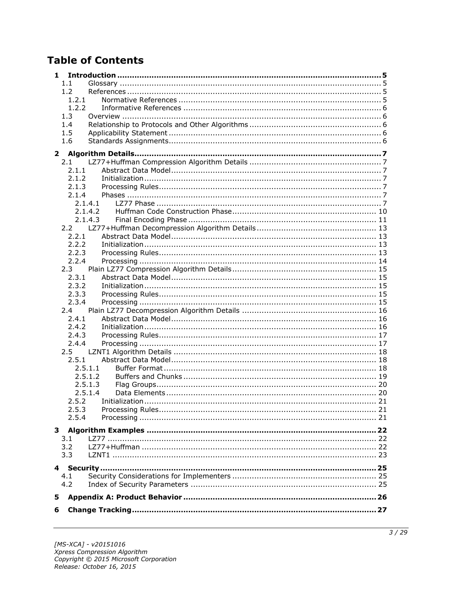# **Table of Contents**

| 1       |         |  |  |  |
|---------|---------|--|--|--|
| 1.1     |         |  |  |  |
| 1.2     |         |  |  |  |
| 1.2.1   |         |  |  |  |
| 1.2.2   |         |  |  |  |
| 1.3     |         |  |  |  |
| 1.4     |         |  |  |  |
| 1.5     |         |  |  |  |
| 1.6     |         |  |  |  |
|         |         |  |  |  |
| 2.1     |         |  |  |  |
| 2.1.1   |         |  |  |  |
| 2.1.2   |         |  |  |  |
| 2.1.3   |         |  |  |  |
| 2.1.4   |         |  |  |  |
|         | 2.1.4.1 |  |  |  |
|         | 2.1.4.2 |  |  |  |
|         | 2.1.4.3 |  |  |  |
| 2.2     |         |  |  |  |
| 2.2.1   |         |  |  |  |
| 2.2.2   |         |  |  |  |
| 2.2.3   |         |  |  |  |
| 2.2.4   |         |  |  |  |
| 2.3     |         |  |  |  |
| 2.3.1   |         |  |  |  |
| 2.3.2   |         |  |  |  |
| 2.3.3   |         |  |  |  |
| 2.3.4   |         |  |  |  |
| 2.4     |         |  |  |  |
| 2.4.1   |         |  |  |  |
| 2.4.2   |         |  |  |  |
| 2.4.3   |         |  |  |  |
| 2.4.4   |         |  |  |  |
| $2.5 -$ |         |  |  |  |
| 2.5.1   |         |  |  |  |
|         | 2.5.1.1 |  |  |  |
|         | 2.5.1.2 |  |  |  |
|         | 2.5.1.3 |  |  |  |
|         | 2.5.1.4 |  |  |  |
| 2.5.2   |         |  |  |  |
| 2.5.3   |         |  |  |  |
| 2.5.4   |         |  |  |  |
|         |         |  |  |  |
| 3.1     |         |  |  |  |
| 3.2     |         |  |  |  |
| 3.3     |         |  |  |  |
|         |         |  |  |  |
|         |         |  |  |  |
| 4.1     |         |  |  |  |
| 4.2     |         |  |  |  |
| 5       |         |  |  |  |
|         |         |  |  |  |
| 6       |         |  |  |  |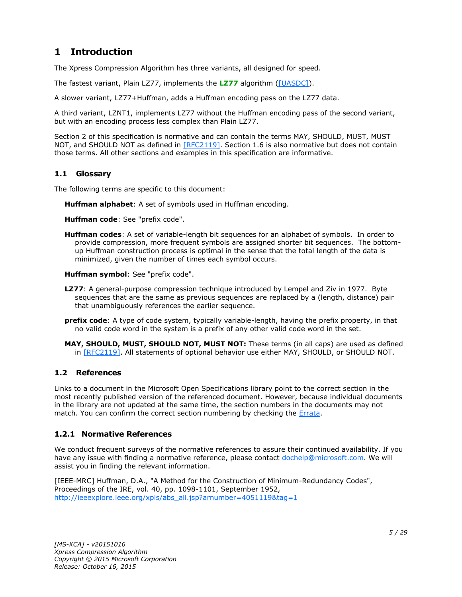## <span id="page-4-0"></span>**1 Introduction**

The Xpress Compression Algorithm has three variants, all designed for speed.

The fastest variant, Plain LZ77, implements the **[LZ77](#page-4-4)** algorithm [\(\[UASDC\]\)](http://go.microsoft.com/fwlink/?LinkId=90549).

A slower variant, LZ77+Huffman, adds a Huffman encoding pass on the LZ77 data.

A third variant, LZNT1, implements LZ77 without the Huffman encoding pass of the second variant, but with an encoding process less complex than Plain LZ77.

Section 2 of this specification is normative and can contain the terms MAY, SHOULD, MUST, MUST NOT, and SHOULD NOT as defined in [\[RFC2119\].](http://go.microsoft.com/fwlink/?LinkId=90317) Section 1.6 is also normative but does not contain those terms. All other sections and examples in this specification are informative.

### <span id="page-4-1"></span>**1.1 Glossary**

The following terms are specific to this document:

<span id="page-4-7"></span>**Huffman alphabet**: A set of symbols used in Huffman encoding.

<span id="page-4-8"></span>**Huffman code**: See "prefix code".

<span id="page-4-6"></span>**Huffman codes**: A set of variable-length bit sequences for an alphabet of symbols. In order to provide compression, more frequent symbols are assigned shorter bit sequences. The bottomup Huffman construction process is optimal in the sense that the total length of the data is minimized, given the number of times each symbol occurs.

<span id="page-4-9"></span>**Huffman symbol**: See "prefix code".

- <span id="page-4-4"></span>**LZ77**: A general-purpose compression technique introduced by Lempel and Ziv in 1977. Byte sequences that are the same as previous sequences are replaced by a (length, distance) pair that unambiguously references the earlier sequence.
- <span id="page-4-5"></span>**prefix code**: A type of code system, typically variable-length, having the prefix property, in that no valid code word in the system is a prefix of any other valid code word in the set.
- **MAY, SHOULD, MUST, SHOULD NOT, MUST NOT:** These terms (in all caps) are used as defined in [\[RFC2119\].](http://go.microsoft.com/fwlink/?LinkId=90317) All statements of optional behavior use either MAY, SHOULD, or SHOULD NOT.

## <span id="page-4-2"></span>**1.2 References**

Links to a document in the Microsoft Open Specifications library point to the correct section in the most recently published version of the referenced document. However, because individual documents in the library are not updated at the same time, the section numbers in the documents may not match. You can confirm the correct section numbering by checking the [Errata.](http://msdn.microsoft.com/en-us/library/dn781092.aspx)

## <span id="page-4-3"></span>**1.2.1 Normative References**

We conduct frequent surveys of the normative references to assure their continued availability. If you have any issue with finding a normative reference, please contact [dochelp@microsoft.com.](mailto:dochelp@microsoft.com) We will assist you in finding the relevant information.

[IEEE-MRC] Huffman, D.A., "A Method for the Construction of Minimum-Redundancy Codes", Proceedings of the IRE, vol. 40, pp. 1098-1101, September 1952, [http://ieeexplore.ieee.org/xpls/abs\\_all.jsp?arnumber=4051119&tag=1](http://go.microsoft.com/fwlink/?LinkId=227659)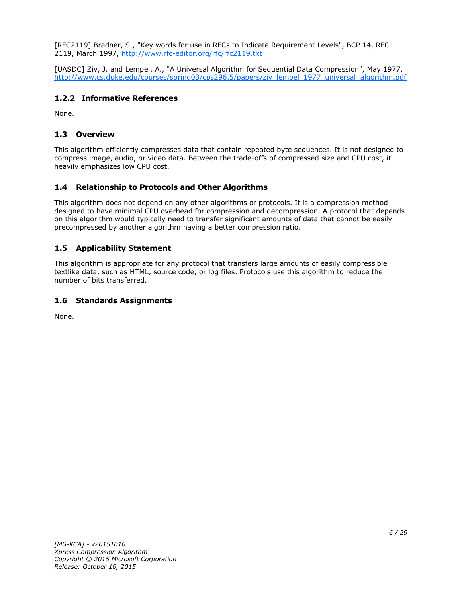[RFC2119] Bradner, S., "Key words for use in RFCs to Indicate Requirement Levels", BCP 14, RFC 2119, March 1997, [http://www.rfc-editor.org/rfc/rfc2119.txt](http://go.microsoft.com/fwlink/?LinkId=90317)

[UASDC] Ziv, J. and Lempel, A., "A Universal Algorithm for Sequential Data Compression", May 1977, [http://www.cs.duke.edu/courses/spring03/cps296.5/papers/ziv\\_lempel\\_1977\\_universal\\_algorithm.pdf](http://go.microsoft.com/fwlink/?LinkId=90549)

## <span id="page-5-0"></span>**1.2.2 Informative References**

None.

## <span id="page-5-1"></span>**1.3 Overview**

This algorithm efficiently compresses data that contain repeated byte sequences. It is not designed to compress image, audio, or video data. Between the trade-offs of compressed size and CPU cost, it heavily emphasizes low CPU cost.

## <span id="page-5-2"></span>**1.4 Relationship to Protocols and Other Algorithms**

This algorithm does not depend on any other algorithms or protocols. It is a compression method designed to have minimal CPU overhead for compression and decompression. A protocol that depends on this algorithm would typically need to transfer significant amounts of data that cannot be easily precompressed by another algorithm having a better compression ratio.

## <span id="page-5-3"></span>**1.5 Applicability Statement**

This algorithm is appropriate for any protocol that transfers large amounts of easily compressible textlike data, such as HTML, source code, or log files. Protocols use this algorithm to reduce the number of bits transferred.

## <span id="page-5-4"></span>**1.6 Standards Assignments**

None.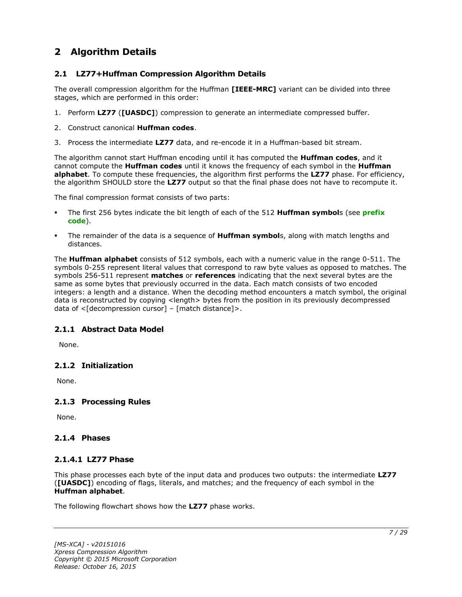## <span id="page-6-0"></span>**2 Algorithm Details**

## <span id="page-6-1"></span>**2.1 LZ77+Huffman Compression Algorithm Details**

The overall compression algorithm for the Huffman **[IEEE-MRC]** variant can be divided into three stages, which are performed in this order:

- 1. Perform **LZ77** (**[UASDC]**) compression to generate an intermediate compressed buffer.
- 2. Construct canonical **Huffman codes**.
- 3. Process the intermediate **LZ77** data, and re-encode it in a Huffman-based bit stream.

The algorithm cannot start Huffman encoding until it has computed the **Huffman codes**, and it cannot compute the **Huffman codes** until it knows the frequency of each symbol in the **Huffman alphabet**. To compute these frequencies, the algorithm first performs the **LZ77** phase. For efficiency, the algorithm SHOULD store the **LZ77** output so that the final phase does not have to recompute it.

The final compression format consists of two parts:

- The first 256 bytes indicate the bit length of each of the 512 **Huffman symbol**s (see **[prefix](#page-4-5)  [code](#page-4-5)**).
- The remainder of the data is a sequence of **Huffman symbol**s, along with match lengths and distances.

The **Huffman alphabet** consists of 512 symbols, each with a numeric value in the range 0-511. The symbols 0-255 represent literal values that correspond to raw byte values as opposed to matches. The symbols 256-511 represent **matches** or **references** indicating that the next several bytes are the same as some bytes that previously occurred in the data. Each match consists of two encoded integers: a length and a distance. When the decoding method encounters a match symbol, the original data is reconstructed by copying <length> bytes from the position in its previously decompressed data of  $\leq$ [decompression cursor] – [match distance]>.

## <span id="page-6-2"></span>**2.1.1 Abstract Data Model**

None.

## <span id="page-6-3"></span>**2.1.2 Initialization**

None.

## <span id="page-6-4"></span>**2.1.3 Processing Rules**

None.

#### <span id="page-6-5"></span>**2.1.4 Phases**

#### <span id="page-6-6"></span>**2.1.4.1 LZ77 Phase**

This phase processes each byte of the input data and produces two outputs: the intermediate **LZ77** (**[UASDC]**) encoding of flags, literals, and matches; and the frequency of each symbol in the **Huffman alphabet**.

The following flowchart shows how the **LZ77** phase works.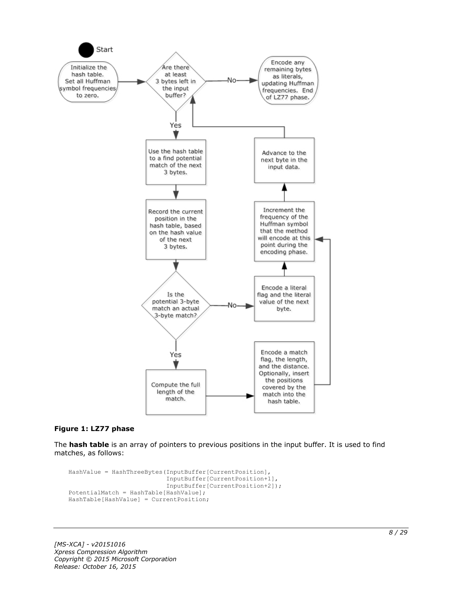

#### **Figure 1: LZ77 phase**

The **hash table** is an array of pointers to previous positions in the input buffer. It is used to find matches, as follows:

```
HashValue = HashThreeBytes(InputBuffer[CurrentPosition],
                            InputBuffer[CurrentPosition+1],
                           InputBuffer[CurrentPosition+2]);
PotentialMatch = HashTable[HashValue];
HashTable[HashValue] = CurrentPosition;
```
*[MS-XCA] - v20151016 Xpress Compression Algorithm Copyright © 2015 Microsoft Corporation Release: October 16, 2015*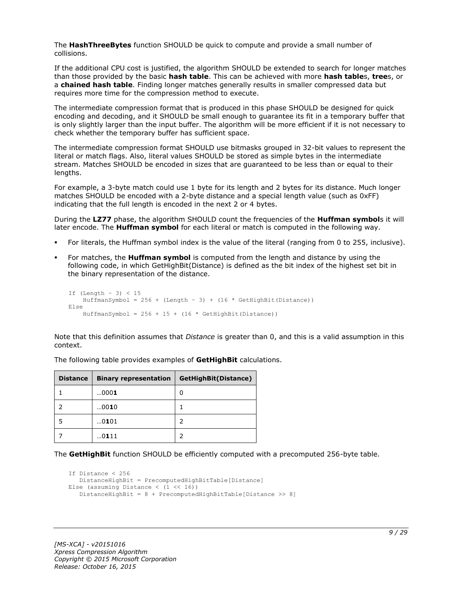The **HashThreeBytes** function SHOULD be quick to compute and provide a small number of collisions.

If the additional CPU cost is justified, the algorithm SHOULD be extended to search for longer matches than those provided by the basic **hash table**. This can be achieved with more **hash table**s, **tree**s, or a **chained hash table**. Finding longer matches generally results in smaller compressed data but requires more time for the compression method to execute.

The intermediate compression format that is produced in this phase SHOULD be designed for quick encoding and decoding, and it SHOULD be small enough to guarantee its fit in a temporary buffer that is only slightly larger than the input buffer. The algorithm will be more efficient if it is not necessary to check whether the temporary buffer has sufficient space.

The intermediate compression format SHOULD use bitmasks grouped in 32-bit values to represent the literal or match flags. Also, literal values SHOULD be stored as simple bytes in the intermediate stream. Matches SHOULD be encoded in sizes that are guaranteed to be less than or equal to their lengths.

For example, a 3-byte match could use 1 byte for its length and 2 bytes for its distance. Much longer matches SHOULD be encoded with a 2-byte distance and a special length value (such as 0xFF) indicating that the full length is encoded in the next 2 or 4 bytes.

During the **LZ77** phase, the algorithm SHOULD count the frequencies of the **Huffman symbol**s it will later encode. The **Huffman symbol** for each literal or match is computed in the following way.

- For literals, the Huffman symbol index is the value of the literal (ranging from 0 to 255, inclusive).
- For matches, the **Huffman symbol** is computed from the length and distance by using the following code, in which GetHighBit(Distance) is defined as the bit index of the highest set bit in the binary representation of the distance.

```
If (Lenqth - 3) < 15HuffmanSymbol = 256 + (Length - 3) + (16 * GetHighBit(Distance))Else
    HuffmanSymbol = 256 + 15 + (16 * \text{GetHighBit}(\text{Distance}))
```
Note that this definition assumes that *Distance* is greater than 0, and this is a valid assumption in this context.

| <b>Distance</b> | <b>Binary representation</b> | GetHighBit(Distance) |
|-----------------|------------------------------|----------------------|
|                 | 0001                         | 0                    |
|                 | 0010                         |                      |
|                 | 0101                         |                      |
|                 | 0111                         |                      |

The following table provides examples of **GetHighBit** calculations.

The **GetHighBit** function SHOULD be efficiently computed with a precomputed 256-byte table.

```
If Distance < 256
    DistanceHighBit = PrecomputedHighBitTable[Distance]
Else (assuming Distance \langle (1 \langle 16))
    DistanceHighBit = 8 + PrecomputedHighBitTable[Distance >> 8]
```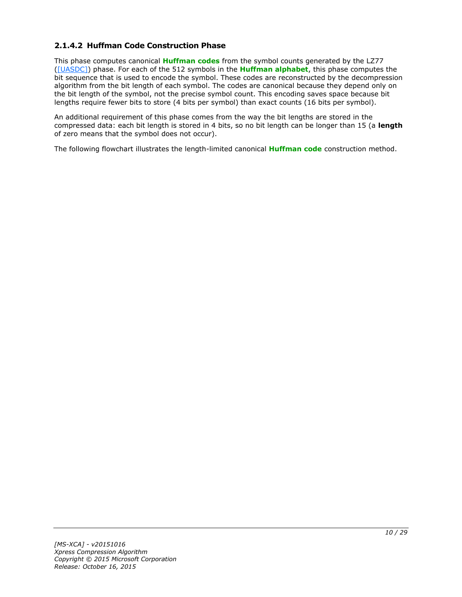## <span id="page-9-0"></span>**2.1.4.2 Huffman Code Construction Phase**

This phase computes canonical **[Huffman codes](#page-4-6)** from the symbol counts generated by the LZ77 [\(\[UASDC\]\)](http://go.microsoft.com/fwlink/?LinkId=90549) phase. For each of the 512 symbols in the **[Huffman alphabet](#page-4-7)**, this phase computes the bit sequence that is used to encode the symbol. These codes are reconstructed by the decompression algorithm from the bit length of each symbol. The codes are canonical because they depend only on the bit length of the symbol, not the precise symbol count. This encoding saves space because bit lengths require fewer bits to store (4 bits per symbol) than exact counts (16 bits per symbol).

An additional requirement of this phase comes from the way the bit lengths are stored in the compressed data: each bit length is stored in 4 bits, so no bit length can be longer than 15 (a **length** of zero means that the symbol does not occur).

The following flowchart illustrates the length-limited canonical **[Huffman code](#page-4-8)** construction method.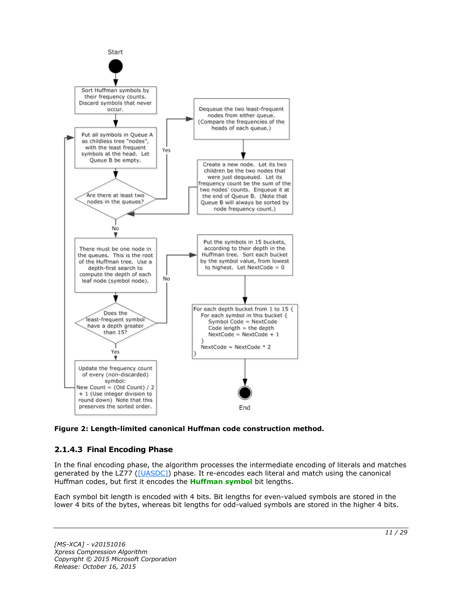

**Figure 2: Length-limited canonical Huffman code construction method.**

## <span id="page-10-0"></span>**2.1.4.3 Final Encoding Phase**

In the final encoding phase, the algorithm processes the intermediate encoding of literals and matches generated by the LZ77 [\(\[UASDC\]\)](http://go.microsoft.com/fwlink/?LinkId=90549) phase. It re-encodes each literal and match using the canonical Huffman codes, but first it encodes the **[Huffman symbol](#page-4-9)** bit lengths.

Each symbol bit length is encoded with 4 bits. Bit lengths for even-valued symbols are stored in the lower 4 bits of the bytes, whereas bit lengths for odd-valued symbols are stored in the higher 4 bits.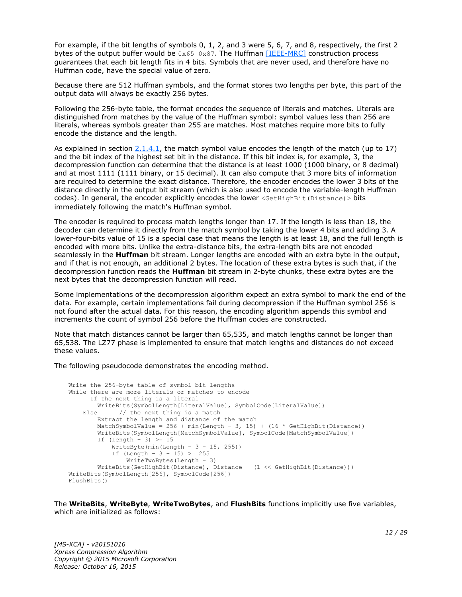For example, if the bit lengths of symbols 0, 1, 2, and 3 were 5, 6, 7, and 8, respectively, the first 2 bytes of the output buffer would be  $0 \times 65$  0x87. The Huffman [\[IEEE-MRC\]](http://go.microsoft.com/fwlink/?LinkId=227659) construction process guarantees that each bit length fits in 4 bits. Symbols that are never used, and therefore have no Huffman code, have the special value of zero.

Because there are 512 Huffman symbols, and the format stores two lengths per byte, this part of the output data will always be exactly 256 bytes.

Following the 256-byte table, the format encodes the sequence of literals and matches. Literals are distinguished from matches by the value of the Huffman symbol: symbol values less than 256 are literals, whereas symbols greater than 255 are matches. Most matches require more bits to fully encode the distance and the length.

As explained in section  $2.1.4.1$ , the match symbol value encodes the length of the match (up to 17) and the bit index of the highest set bit in the distance. If this bit index is, for example, 3, the decompression function can determine that the distance is at least 1000 (1000 binary, or 8 decimal) and at most 1111 (1111 binary, or 15 decimal). It can also compute that 3 more bits of information are required to determine the exact distance. Therefore, the encoder encodes the lower 3 bits of the distance directly in the output bit stream (which is also used to encode the variable-length Huffman codes). In general, the encoder explicitly encodes the lower <GetHighBit(Distance) > bits immediately following the match's Huffman symbol.

The encoder is required to process match lengths longer than 17. If the length is less than 18, the decoder can determine it directly from the match symbol by taking the lower 4 bits and adding 3. A lower-four-bits value of 15 is a special case that means the length is at least 18, and the full length is encoded with more bits. Unlike the extra-distance bits, the extra-length bits are not encoded seamlessly in the **Huffman** bit stream. Longer lengths are encoded with an extra byte in the output, and if that is not enough, an additional 2 bytes. The location of these extra bytes is such that, if the decompression function reads the **Huffman** bit stream in 2-byte chunks, these extra bytes are the next bytes that the decompression function will read.

Some implementations of the decompression algorithm expect an extra symbol to mark the end of the data. For example, certain implementations fail during decompression if the Huffman symbol 256 is not found after the actual data. For this reason, the encoding algorithm appends this symbol and increments the count of symbol 256 before the Huffman codes are constructed.

Note that match distances cannot be larger than 65,535, and match lengths cannot be longer than 65,538. The LZ77 phase is implemented to ensure that match lengths and distances do not exceed these values.

The following pseudocode demonstrates the encoding method.

```
Write the 256-byte table of symbol bit lengths
While there are more literals or matches to encode
       If the next thing is a literal
         WriteBits(SymbolLength[LiteralValue], SymbolCode[LiteralValue])
   Else // the next thing is a match
         Extract the length and distance of the match
        MatchSymbolValue = 256 + min(Length - 3, 15) + (16 * GetHighBit(Distance))
         WriteBits(SymbolLength[MatchSymbolValue], SymbolCode[MatchSymbolValue])
        If (Length - 3) \geq 15
            WriteByte(min(Length - 3 - 15, 255))
           If (Length - 3 - 15) >= 255
                WriteTwoBytes(Length – 3)
         WriteBits(GetHighBit(Distance), Distance – (1 << GetHighBit(Distance)))
WriteBits(SymbolLength[256], SymbolCode[256])
FlushBits()
```
The **WriteBits**, **WriteByte**, **WriteTwoBytes**, and **FlushBits** functions implicitly use five variables, which are initialized as follows: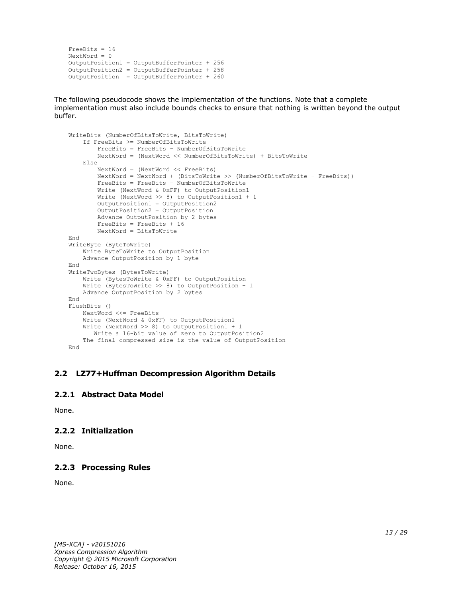```
FreeBits = 16
NextWord = 0
OutputPosition1 = OutputBufferPointer + 256
OutputPosition2 = OutputBufferPointer + 258 
OutputPosition = OutputBufferPointer + 260
```
The following pseudocode shows the implementation of the functions. Note that a complete implementation must also include bounds checks to ensure that nothing is written beyond the output buffer.

```
WriteBits (NumberOfBitsToWrite, BitsToWrite)
     If FreeBits >= NumberOfBitsToWrite
         FreeBits = FreeBits – NumberOfBitsToWrite
         NextWord = (NextWord << NumberOfBitsToWrite) + BitsToWrite
     Else
         NextWord = (NextWord << FreeBits)
         NextWord = NextWord + (BitsToWrite >> (NumberOfBitsToWrite – FreeBits))
         FreeBits = FreeBits – NumberOfBitsToWrite
         Write (NextWord & 0xFF) to OutputPosition1
         Write (NextWord >> 8) to OutputPosition1 + 1
         OutputPosition1 = OutputPosition2
         OutputPosition2 = OutputPosition
         Advance OutputPosition by 2 bytes
         FreeBits = FreeBits + 16
         NextWord = BitsToWrite
End
WriteByte (ByteToWrite)
    Write ByteToWrite to OutputPosition
     Advance OutputPosition by 1 byte
End
WriteTwoBytes (BytesToWrite)
     Write (BytesToWrite & 0xFF) to OutputPosition
     Write (BytesToWrite >> 8) to OutputPosition + 1
    Advance OutputPosition by 2 bytes
End
FlushBits ()
     NextWord <<= FreeBits
     Write (NextWord & 0xFF) to OutputPosition1
     Write (NextWord >> 8) to OutputPosition1 + 1
       Write a 16-bit value of zero to OutputPosition2
     The final compressed size is the value of OutputPosition
End
```
#### <span id="page-12-0"></span>**2.2 LZ77+Huffman Decompression Algorithm Details**

#### <span id="page-12-1"></span>**2.2.1 Abstract Data Model**

None.

## <span id="page-12-2"></span>**2.2.2 Initialization**

None.

## <span id="page-12-3"></span>**2.2.3 Processing Rules**

None.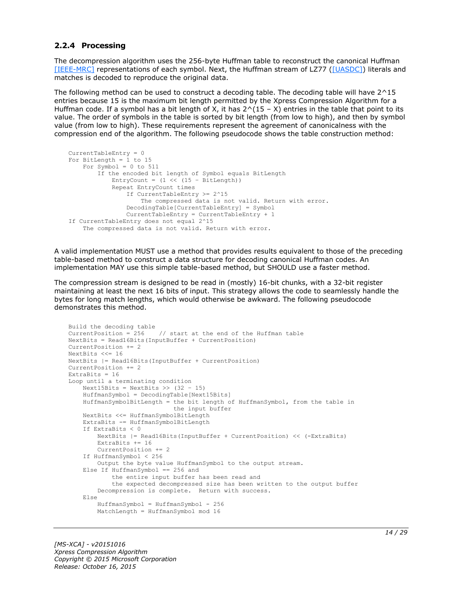#### <span id="page-13-0"></span>**2.2.4 Processing**

The decompression algorithm uses the 256-byte Huffman table to reconstruct the canonical Huffman [\[IEEE-MRC\]](http://go.microsoft.com/fwlink/?LinkId=227659) representations of each symbol. Next, the Huffman stream of LZ77 [\(\[UASDC\]\)](http://go.microsoft.com/fwlink/?LinkId=90549) literals and matches is decoded to reproduce the original data.

The following method can be used to construct a decoding table. The decoding table will have 2^15 entries because 15 is the maximum bit length permitted by the Xpress Compression Algorithm for a Huffman code. If a symbol has a bit length of X, it has  $2^(15 - X)$  entries in the table that point to its value. The order of symbols in the table is sorted by bit length (from low to high), and then by symbol value (from low to high). These requirements represent the agreement of canonicalness with the compression end of the algorithm. The following pseudocode shows the table construction method:

```
CurrentTableEntry = 0
For BitLength = 1 to 15
   For Symbol = 0 to 511
         If the encoded bit length of Symbol equals BitLength
            EntryCount = (1 \leq \leq 15 - \text{BitLength}) Repeat EntryCount times
                 If CurrentTableEntry >= 2^15
                     The compressed data is not valid. Return with error.
                 DecodingTable[CurrentTableEntry] = Symbol
                 CurrentTableEntry = CurrentTableEntry + 1
If CurrentTableEntry does not equal 2^15
     The compressed data is not valid. Return with error.
```
A valid implementation MUST use a method that provides results equivalent to those of the preceding table-based method to construct a data structure for decoding canonical Huffman codes. An implementation MAY use this simple table-based method, but SHOULD use a faster method.

The compression stream is designed to be read in (mostly) 16-bit chunks, with a 32-bit register maintaining at least the next 16 bits of input. This strategy allows the code to seamlessly handle the bytes for long match lengths, which would otherwise be awkward. The following pseudocode demonstrates this method.

```
Build the decoding table
CurrentPosition = 256 // start at the end of the Huffman table
NextBits = Read16Bits(InputBuffer + CurrentPosition)
CurrentPosition += 2
NextBits <<= 16
NextBits |= Read16Bits(InputBuffer + CurrentPosition)
CurrentPosition += 2
ExtraBits = 16
Loop until a terminating condition
    Next15Bits = NextBits \gg (32 - 15)
     HuffmanSymbol = DecodingTable[Next15Bits]
     HuffmanSymbolBitLength = the bit length of HuffmanSymbol, from the table in
                              the input buffer
     NextBits <<= HuffmanSymbolBitLength
     ExtraBits -= HuffmanSymbolBitLength
     If ExtraBits < 0
        NextBits |= Read16Bits(InputBuffer + CurrentPosition) << (-ExtraBits)
         ExtraBits += 16
         CurrentPosition += 2
     If HuffmanSymbol < 256
        Output the byte value HuffmanSymbol to the output stream.
     Else If HuffmanSymbol == 256 and
             the entire input buffer has been read and
             the expected decompressed size has been written to the output buffer
         Decompression is complete. Return with success.
     Else
        HuffmanSumbol = HuffmanSumbol - 256 MatchLength = HuffmanSymbol mod 16
```
*[MS-XCA] - v20151016 Xpress Compression Algorithm Copyright © 2015 Microsoft Corporation Release: October 16, 2015*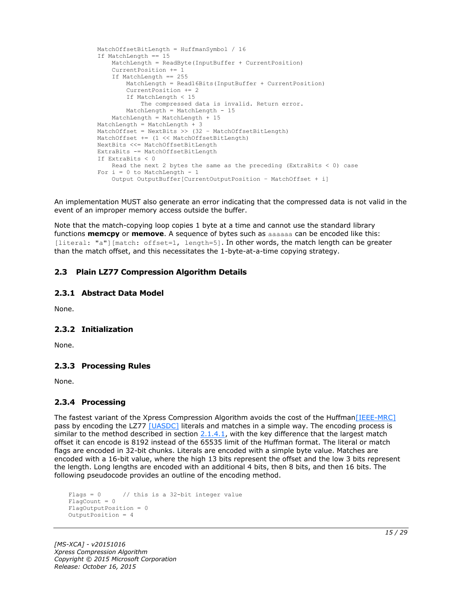```
 MatchOffsetBitLength = HuffmanSymbol / 16
 If MatchLength == 15
    MatchLength = ReadByte(InputBuffer + CurrentPosition)
     CurrentPosition += 1
     If MatchLength == 255
         MatchLength = Read16Bits(InputBuffer + CurrentPosition)
       CurrentPosition += 2
        If MatchLength < 15
            The compressed data is invalid. Return error.
       MatchLength = MatchLength - 15
     MatchLength = MatchLength + 15
MatchLength = MatchLength + 3 MatchOffset = NextBits >> (32 – MatchOffsetBitLength)
 MatchOffset += (1 << MatchOffsetBitLength)
 NextBits <<= MatchOffsetBitLength
 ExtraBits -= MatchOffsetBitLength
 If ExtraBits < 0
   Read the next 2 bytes the same as the preceding (ExtraBits < 0) case
For i = 0 to MatchLength - 1
     Output OutputBuffer[CurrentOutputPosition – MatchOffset + i]
```
An implementation MUST also generate an error indicating that the compressed data is not valid in the event of an improper memory access outside the buffer.

Note that the match-copying loop copies 1 byte at a time and cannot use the standard library functions **memcpy** or **memove**. A sequence of bytes such as aaaaaa can be encoded like this: [literal: "a"][match: offset=1, length=5]. In other words, the match length can be greater than the match offset, and this necessitates the 1-byte-at-a-time copying strategy.

### <span id="page-14-0"></span>**2.3 Plain LZ77 Compression Algorithm Details**

#### <span id="page-14-1"></span>**2.3.1 Abstract Data Model**

None.

#### <span id="page-14-2"></span>**2.3.2 Initialization**

None.

#### <span id="page-14-3"></span>**2.3.3 Processing Rules**

None.

## <span id="page-14-4"></span>**2.3.4 Processing**

The fastest variant of the Xpress Compression Algorithm avoids the cost of the Huffman [IEEE-MRC] pass by encoding the LZ77 [\[UASDC\]](http://go.microsoft.com/fwlink/?LinkId=90549) literals and matches in a simple way. The encoding process is similar to the method described in section  $2.1.4.1$ , with the key difference that the largest match offset it can encode is 8192 instead of the 65535 limit of the Huffman format. The literal or match flags are encoded in 32-bit chunks. Literals are encoded with a simple byte value. Matches are encoded with a 16-bit value, where the high 13 bits represent the offset and the low 3 bits represent the length. Long lengths are encoded with an additional 4 bits, then 8 bits, and then 16 bits. The following pseudocode provides an outline of the encoding method.

```
Flags = 0 // this is a 32-bit integer value
FlagCount = 0FlagOutputPosition = 0
OutputPosition = 4
```
*[MS-XCA] - v20151016 Xpress Compression Algorithm Copyright © 2015 Microsoft Corporation Release: October 16, 2015*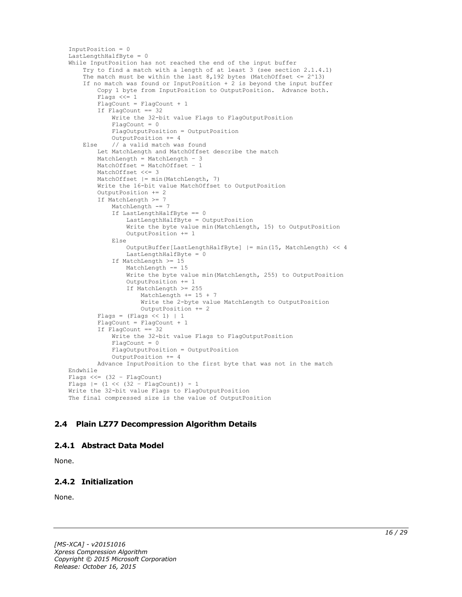```
InputPosition = 0
LastLengthHalfByte = 0
While InputPosition has not reached the end of the input buffer
     Try to find a match with a length of at least 3 (see section 2.1.4.1)
    The match must be within the last 8,192 bytes (MatchOffset \leq 2^13)
     If no match was found or InputPosition + 2 is beyond the input buffer
         Copy 1 byte from InputPosition to OutputPosition. Advance both.
         Flags <<= 1
         FlagCount = FlagCount + 1
         If FlagCount == 32
             Write the 32-bit value Flags to FlagOutputPosition
             FlagCount = 0
             FlagOutputPosition = OutputPosition
             OutputPosition += 4
     Else // a valid match was found
         Let MatchLength and MatchOffset describe the match
         MatchLength = MatchLength – 3
        MatchOffset = MatchOffset - 1 MatchOffset <<= 3
         MatchOffset |= min(MatchLength, 7)
         Write the 16-bit value MatchOffset to OutputPosition
         OutputPosition += 2
         If MatchLength >= 7
            MatchLength -= 7
             If LastLengthHalfByte == 0
                 LastLengthHalfByte = OutputPosition
                 Write the byte value min(MatchLength, 15) to OutputPosition
                OutputPosition += 1
             Else
                 OutputBuffer[LastLengthHalfByte] |= min(15, MatchLength) << 4
                 LastLengthHalfByte = 0
             If MatchLength >= 15
                 MatchLength -= 15
                 Write the byte value min(MatchLength, 255) to OutputPosition
                OutputPosition += 1
                 If MatchLength >= 255
                     MatchLength += 15 + 7
                     Write the 2-byte value MatchLength to OutputPosition
                     OutputPosition += 2
        Flags = (Flags << 1) | 1
         FlagCount = FlagCount + 1
         If FlagCount == 32
             Write the 32-bit value Flags to FlagOutputPosition
            FlacCount = 0 FlagOutputPosition = OutputPosition
             OutputPosition += 4
         Advance InputPosition to the first byte that was not in the match
Endwhile
Flags <<=(32 - \text{FlagCount})Flags = (1 \leq \leq (32 - \text{FlagCount})) - 1Write the 32-bit value Flags to FlagOutputPosition
The final compressed size is the value of OutputPosition
```
## <span id="page-15-0"></span>**2.4 Plain LZ77 Decompression Algorithm Details**

#### <span id="page-15-1"></span>**2.4.1 Abstract Data Model**

None.

## <span id="page-15-2"></span>**2.4.2 Initialization**

None.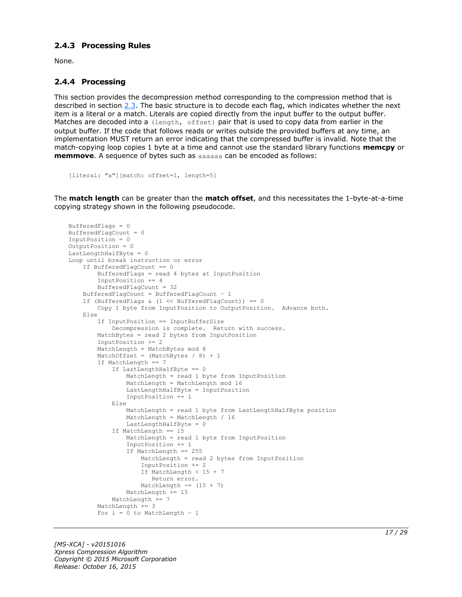#### <span id="page-16-0"></span>**2.4.3 Processing Rules**

None.

### <span id="page-16-1"></span>**2.4.4 Processing**

This section provides the decompression method corresponding to the compression method that is described in section [2.3.](#page-14-0) The basic structure is to decode each flag, which indicates whether the next item is a literal or a match. Literals are copied directly from the input buffer to the output buffer. Matches are decoded into a (length, offset) pair that is used to copy data from earlier in the output buffer. If the code that follows reads or writes outside the provided buffers at any time, an implementation MUST return an error indicating that the compressed buffer is invalid. Note that the match-copying loop copies 1 byte at a time and cannot use the standard library functions **memcpy** or **memmove**. A sequence of bytes such as aaaaaa can be encoded as follows:

```
[literal: "a"][match: offset=1, length=5]
```
The **match length** can be greater than the **match offset**, and this necessitates the 1-byte-at-a-time copying strategy shown in the following pseudocode.

```
BufferedFlags = 0
BufferedFlagCount = 0
InputPosition = 0
OutputPosition = 0
LastLengthHalfByte = 0Loop until break instruction or error
     If BufferedFlagCount == 0
         BufferedFlags = read 4 bytes at InputPosition
         InputPosition += 4
         BufferedFlagCount = 32
     BufferedFlagCount = BufferedFlagCount – 1
    If (BufferedFlags & (1 \leq \text{BufferedFlagCount})) == 0
         Copy 1 byte from InputPosition to OutputPosition. Advance both.
     Else
         If InputPosition == InputBufferSize
             Decompression is complete. Return with success.
         MatchBytes = read 2 bytes from InputPosition
         InputPosition += 2
        MatchLength = MatchBytes mod 8
        MatchOffset = (MatchBytes / 8) + 1 If MatchLength == 7
             If LastLengthHalfByte == 0
                 MatchLength = read 1 byte from InputPosition
                 MatchLength = MatchLength mod 16
                LastLengthHalfByte = InputPosition
                 InputPosition += 1
             Else
                 MatchLength = read 1 byte from LastLengthHalfByte position
                 MatchLength = MatchLength / 16
                LastLengthHalfByte = 0
             If MatchLength == 15
                 MatchLength = read 1 byte from InputPosition
                 InputPosition += 1
                If MatchLength == 255
                     MatchLength = read 2 bytes from InputPosition
                    InputPosition += 2
                    If MatchLength < 15 + 7
                       Return error.
                    MatchLength == (15 + 7)
                MathLength += 15 MatchLength += 7
        MatchLength += 3
        For i = 0 to MatchLength - 1
```
*[MS-XCA] - v20151016 Xpress Compression Algorithm Copyright © 2015 Microsoft Corporation Release: October 16, 2015*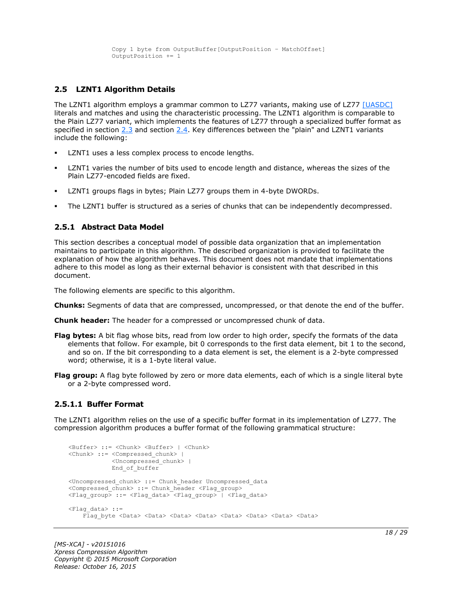```
 Copy 1 byte from OutputBuffer[OutputPosition – MatchOffset]
 OutputPosition += 1
```
## <span id="page-17-0"></span>**2.5 LZNT1 Algorithm Details**

The LZNT1 algorithm employs a grammar common to LZ77 variants, making use of LZ77 [\[UASDC\]](http://go.microsoft.com/fwlink/?LinkId=90549) literals and matches and using the characteristic processing. The LZNT1 algorithm is comparable to the Plain LZ77 variant, which implements the features of LZ77 through a specialized buffer format as specified in section [2.3](#page-14-0) and section [2.4.](#page-15-0) Key differences between the "plain" and LZNT1 variants include the following:

- LZNT1 uses a less complex process to encode lengths.
- LZNT1 varies the number of bits used to encode length and distance, whereas the sizes of the Plain LZ77-encoded fields are fixed.
- LZNT1 groups flags in bytes; Plain LZ77 groups them in 4-byte DWORDs.
- The LZNT1 buffer is structured as a series of chunks that can be independently decompressed.

#### <span id="page-17-1"></span>**2.5.1 Abstract Data Model**

This section describes a conceptual model of possible data organization that an implementation maintains to participate in this algorithm. The described organization is provided to facilitate the explanation of how the algorithm behaves. This document does not mandate that implementations adhere to this model as long as their external behavior is consistent with that described in this document.

The following elements are specific to this algorithm.

- **Chunks:** Segments of data that are compressed, uncompressed, or that denote the end of the buffer.
- **Chunk header:** The header for a compressed or uncompressed chunk of data.
- **Flag bytes:** A bit flag whose bits, read from low order to high order, specify the formats of the data elements that follow. For example, bit 0 corresponds to the first data element, bit 1 to the second, and so on. If the bit corresponding to a data element is set, the element is a 2-byte compressed word; otherwise, it is a 1-byte literal value.
- **Flag group:** A flag byte followed by zero or more data elements, each of which is a single literal byte or a 2-byte compressed word.

#### <span id="page-17-2"></span>**2.5.1.1 Buffer Format**

The LZNT1 algorithm relies on the use of a specific buffer format in its implementation of LZ77. The compression algorithm produces a buffer format of the following grammatical structure:

```
<Buffer> ::= <Chunk> <Buffer> | <Chunk>
<Chunk> ::= <Compressed_chunk> | 
             <Uncompressed_chunk> |
             End_of_buffer
<Uncompressed_chunk> ::= Chunk_header Uncompressed_data
<Compressed chunk> ::= Chunk header <Flag_group>
<Flag_group> ::= <Flag_data> <Flag_group> | <Flag_data>
<Flag_data> ::=
    Flag byte <Data> <Data> <Data> <Data> <Data> <Data> <Data> <Data> <Data> <Data>
```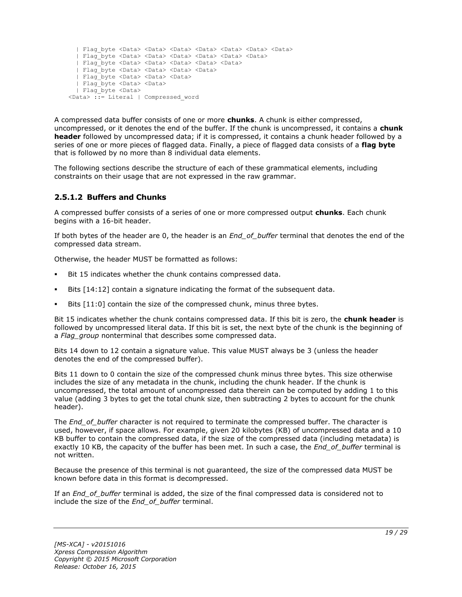```
 | Flag_byte <Data> <Data> <Data> <Data> <Data> <Data> <Data>
   | Flag_byte <Data> <Data> <Data> <Data> <Data> <Data>
   | Flag_byte <Data> <Data> <Data> <Data> <Data>
   | Flag_byte <Data> <Data> <Data> <Data>
   | Flag_byte <Data> <Data> <Data> 
   | Flag_byte <Data> <Data>
   | Flag_byte <Data> 
<Data> ::= Literal | Compressed_word
```
A compressed data buffer consists of one or more **chunks**. A chunk is either compressed, uncompressed, or it denotes the end of the buffer. If the chunk is uncompressed, it contains a **chunk header** followed by uncompressed data; if it is compressed, it contains a chunk header followed by a series of one or more pieces of flagged data. Finally, a piece of flagged data consists of a **flag byte** that is followed by no more than 8 individual data elements.

The following sections describe the structure of each of these grammatical elements, including constraints on their usage that are not expressed in the raw grammar.

## <span id="page-18-0"></span>**2.5.1.2 Buffers and Chunks**

A compressed buffer consists of a series of one or more compressed output **chunks**. Each chunk begins with a 16-bit header.

If both bytes of the header are 0, the header is an *End\_of\_buffer* terminal that denotes the end of the compressed data stream.

Otherwise, the header MUST be formatted as follows:

- Bit 15 indicates whether the chunk contains compressed data.
- Bits [14:12] contain a signature indicating the format of the subsequent data.
- Bits [11:0] contain the size of the compressed chunk, minus three bytes.

Bit 15 indicates whether the chunk contains compressed data. If this bit is zero, the **chunk header** is followed by uncompressed literal data. If this bit is set, the next byte of the chunk is the beginning of a *Flag\_group* nonterminal that describes some compressed data.

Bits 14 down to 12 contain a signature value. This value MUST always be 3 (unless the header denotes the end of the compressed buffer).

Bits 11 down to 0 contain the size of the compressed chunk minus three bytes. This size otherwise includes the size of any metadata in the chunk, including the chunk header. If the chunk is uncompressed, the total amount of uncompressed data therein can be computed by adding 1 to this value (adding 3 bytes to get the total chunk size, then subtracting 2 bytes to account for the chunk header).

The *End\_of\_buffer* character is not required to terminate the compressed buffer. The character is used, however, if space allows. For example, given 20 kilobytes (KB) of uncompressed data and a 10 KB buffer to contain the compressed data, if the size of the compressed data (including metadata) is exactly 10 KB, the capacity of the buffer has been met. In such a case, the *End\_of\_buffer* terminal is not written.

Because the presence of this terminal is not guaranteed, the size of the compressed data MUST be known before data in this format is decompressed.

If an *End\_of\_buffer* terminal is added, the size of the final compressed data is considered not to include the size of the *End\_of\_buffer* terminal.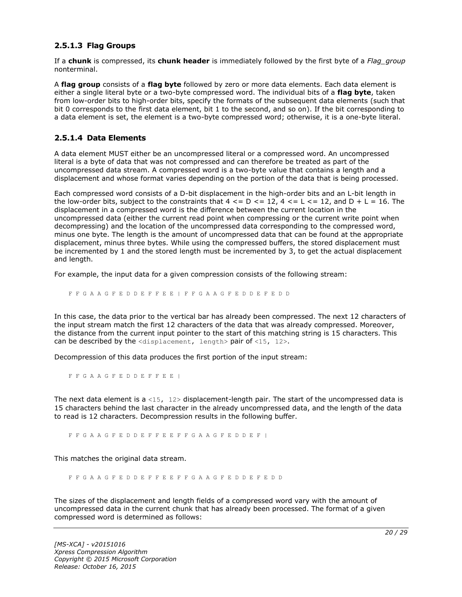#### <span id="page-19-0"></span>**2.5.1.3 Flag Groups**

If a **chunk** is compressed, its **chunk header** is immediately followed by the first byte of a *Flag\_group* nonterminal.

A **flag group** consists of a **flag byte** followed by zero or more data elements. Each data element is either a single literal byte or a two-byte compressed word. The individual bits of a **flag byte**, taken from low-order bits to high-order bits, specify the formats of the subsequent data elements (such that bit 0 corresponds to the first data element, bit 1 to the second, and so on). If the bit corresponding to a data element is set, the element is a two-byte compressed word; otherwise, it is a one-byte literal.

#### <span id="page-19-1"></span>**2.5.1.4 Data Elements**

A data element MUST either be an uncompressed literal or a compressed word. An uncompressed literal is a byte of data that was not compressed and can therefore be treated as part of the uncompressed data stream. A compressed word is a two-byte value that contains a length and a displacement and whose format varies depending on the portion of the data that is being processed.

Each compressed word consists of a D-bit displacement in the high-order bits and an L-bit length in the low-order bits, subject to the constraints that  $4 \leq D \leq 12$ ,  $4 \leq L \leq 12$ , and  $D + L = 16$ . The displacement in a compressed word is the difference between the current location in the uncompressed data (either the current read point when compressing or the current write point when decompressing) and the location of the uncompressed data corresponding to the compressed word, minus one byte. The length is the amount of uncompressed data that can be found at the appropriate displacement, minus three bytes. While using the compressed buffers, the stored displacement must be incremented by 1 and the stored length must be incremented by 3, to get the actual displacement and length.

For example, the input data for a given compression consists of the following stream:

F F G A A G F E D D E F F E E | F F G A A G F E D D E F E D D

In this case, the data prior to the vertical bar has already been compressed. The next 12 characters of the input stream match the first 12 characters of the data that was already compressed. Moreover, the distance from the current input pointer to the start of this matching string is 15 characters. This can be described by the  $\langle$ displacement, length> pair of  $\langle$ 15, 12>.

Decompression of this data produces the first portion of the input stream:

F F G A A G F E D D E F F E E |

The next data element is a <15,  $12$  bisplacement-length pair. The start of the uncompressed data is 15 characters behind the last character in the already uncompressed data, and the length of the data to read is 12 characters. Decompression results in the following buffer.

F F G A A G F E D D E F F E E F F G A A G F E D D E F |

This matches the original data stream.

F F G A A G F E D D E F F E E F F G A A G F E D D E F E D D

The sizes of the displacement and length fields of a compressed word vary with the amount of uncompressed data in the current chunk that has already been processed. The format of a given compressed word is determined as follows: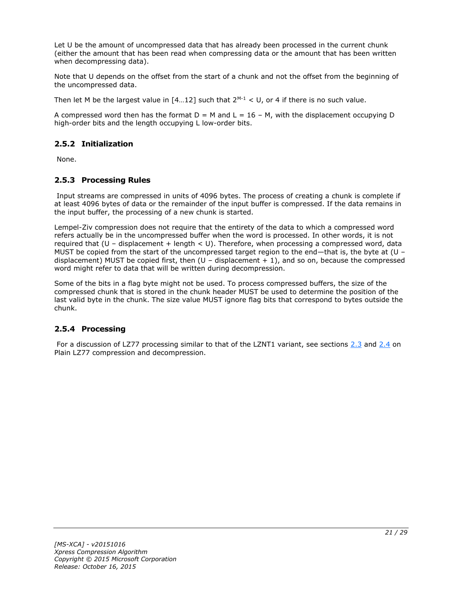Let U be the amount of uncompressed data that has already been processed in the current chunk (either the amount that has been read when compressing data or the amount that has been written when decompressing data).

Note that U depends on the offset from the start of a chunk and not the offset from the beginning of the uncompressed data.

Then let M be the largest value in  $[4...12]$  such that  $2^{M-1} < U$ , or 4 if there is no such value.

A compressed word then has the format  $D = M$  and  $L = 16 - M$ , with the displacement occupying D high-order bits and the length occupying L low-order bits.

## <span id="page-20-0"></span>**2.5.2 Initialization**

None.

## <span id="page-20-1"></span>**2.5.3 Processing Rules**

Input streams are compressed in units of 4096 bytes. The process of creating a chunk is complete if at least 4096 bytes of data or the remainder of the input buffer is compressed. If the data remains in the input buffer, the processing of a new chunk is started.

Lempel-Ziv compression does not require that the entirety of the data to which a compressed word refers actually be in the uncompressed buffer when the word is processed. In other words, it is not required that  $(U -$  displacement + length  $U$ . Therefore, when processing a compressed word, data MUST be copied from the start of the uncompressed target region to the end—that is, the byte at (U – displacement) MUST be copied first, then  $(U -$  displacement  $+ 1)$ , and so on, because the compressed word might refer to data that will be written during decompression.

Some of the bits in a flag byte might not be used. To process compressed buffers, the size of the compressed chunk that is stored in the chunk header MUST be used to determine the position of the last valid byte in the chunk. The size value MUST ignore flag bits that correspond to bytes outside the chunk.

## <span id="page-20-2"></span>**2.5.4 Processing**

For a discussion of LZ77 processing similar to that of the LZNT1 variant, see sections [2.3](#page-14-0) and [2.4](#page-15-0) on Plain LZ77 compression and decompression.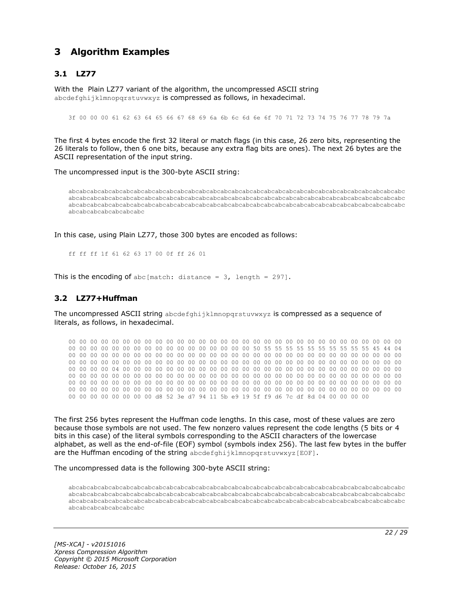## <span id="page-21-0"></span>**3 Algorithm Examples**

## <span id="page-21-1"></span>**3.1 LZ77**

With the Plain LZ77 variant of the algorithm, the uncompressed ASCII string abcdefghijklmnopgrstuvwxyz is compressed as follows, in hexadecimal.

3f 00 00 00 61 62 63 64 65 66 67 68 69 6a 6b 6c 6d 6e 6f 70 71 72 73 74 75 76 77 78 79 7a

The first 4 bytes encode the first 32 literal or match flags (in this case, 26 zero bits, representing the 26 literals to follow, then 6 one bits, because any extra flag bits are ones). The next 26 bytes are the ASCII representation of the input string.

The uncompressed input is the 300-byte ASCII string:

abcabcabcabcabcabcabcabcabcabcabcabcabcabcabcabcabcabcabcabcabcabcabcabcabcabcabcabcabcabcabc abcabcabcabcabcabcabcabcabcabcabcabcabcabcabcabcabcabcabcabcabcabcabcabcabcabcabcabcabcabcabc abcabcabcabcabcabcabcabcabcabcabcabcabcabcabcabcabcabcabcabcabcabcabcabcabcabcabcabcabcabcabc abcabcabcabcabcabcabc

In this case, using Plain LZ77, those 300 bytes are encoded as follows:

ff ff ff 1f 61 62 63 17 00 0f ff 26 01

This is the encoding of abc [match: distance =  $3$ , length = 297].

#### <span id="page-21-2"></span>**3.2 LZ77+Huffman**

The uncompressed ASCII string abcdefghijklmnopqrstuvwxyz is compressed as a sequence of literals, as follows, in hexadecimal.

00 00 00 00 00 00 00 00 00 00 00 00 00 00 00 00 00 00 00 00 00 00 00 00 00 00 00 00 00 00 00 00 00 00 00 00 00 00 00 00 00 00 00 00 00 00 00 00 50 55 55 55 55 55 55 55 55 55 55 45 44 04 00 00 00 00 00 00 00 00 00 00 00 00 00 00 00 00 00 00 00 00 00 00 00 00 00 00 00 00 00 00 00 00 00 00 00 00 00 00 00 00 00 00 00 00 00 00 00 00 00 00 00 00 00 00 00 00 00 00 00 00 00 00 00 00 00 00 04 00 00 00 00 00 00 00 00 00 00 00 00 00 00 00 00 00 00 00 00 00 00 00 00 00 00 00 00 00 00 00 00 00 00 00 00 00 00 00 00 00 00 00 00 00 00 00 00 00 00 00 00 00 00 00 00 00 00 00 00 00 00 00 00 00 00 00 00 00 00 00 00 00 00 00 00 00 00 00 00 00 00 00 00 00 00 00 00 00 00 00 00 00 00 00 00 00 00 00 00 00 00 00 00 00 00 00 00 00 00 00 00 00 00 00 00 00 00 00 00 00 00 00 00 00 00 00 d8 52 3e d7 94 11 5b e9 19 5f f9 d6 7c df 8d 04 00 00 00 00

The first 256 bytes represent the Huffman code lengths. In this case, most of these values are zero because those symbols are not used. The few nonzero values represent the code lengths (5 bits or 4 bits in this case) of the literal symbols corresponding to the ASCII characters of the lowercase alphabet, as well as the end-of-file (EOF) symbol (symbols index 256). The last few bytes in the buffer are the Huffman encoding of the string abcdefghijklmnopgrstuvwxyz[EOF].

The uncompressed data is the following 300-byte ASCII string:

abcabcabcabcabcabcabcabcabcabcabcabcabcabcabcabcabcabcabcabcabcabcabcabcabcabcabcabcabcabcabc abcabcabcabcabcabcabcabcabcabcabcabcabcabcabcabcabcabcabcabcabcabcabcabcabcabcabcabcabcabcabc abcabcabcabcabcabcabcabcabcabcabcabcabcabcabcabcabcabcabcabcabcabcabcabcabcabcabcabcabcabcabc abcabcabcabcabcabcabc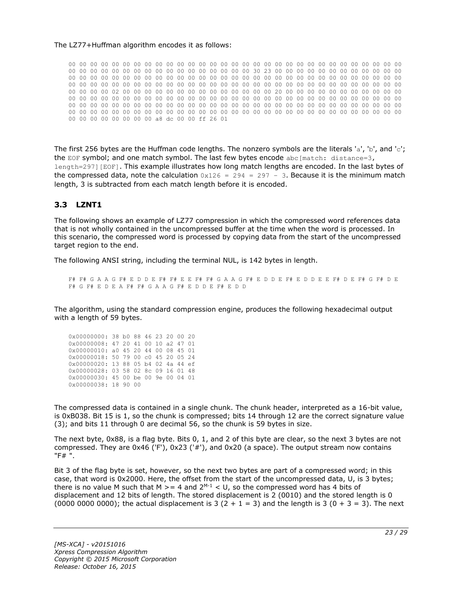#### The LZ77+Huffman algorithm encodes it as follows:

00 00 00 00 00 00 00 00 00 00 00 00 00 00 00 00 00 00 00 00 00 00 00 00 00 00 00 00 00 00 00 00 00 00 00 00 00 00 00 00 00 00 00 00 00 00 00 00 30 23 00 00 00 00 00 00 00 00 00 00 00 00 00 00 00 00 00 00 00 00 00 00 00 00 00 00 00 00 00 00 00 00 00 00 00 00 00 00 00 00 00 00 00 00 00 00 00 00 00 00 00 00 00 00 00 00 00 00 00 00 00 00 00 00 00 00 00 00 00 00 00 00 00 00 00 00 00 00 02 00 00 00 00 00 00 00 00 00 00 00 00 00 00 20 00 00 00 00 00 00 00 00 00 00 00 00 00 00 00 00 00 00 00 00 00 00 00 00 00 00 00 00 00 00 00 00 00 00 00 00 00 00 00 00 00 00 00 00 00 00 00 00 00 00 00 00 00 00 00 00 00 00 00 00 00 00 00 00 00 00 00 00 00 00 00 00 00 00 00 00 00 00 00 00 00 00 00 00 00 00 00 00 00 00 00 00 00 00 00 00 00 00 00 00 00 00 00 00 00 00 00 00 00 00 00 00 a8 dc 00 00 ff 26 01

The first 256 bytes are the Huffman code lengths. The nonzero symbols are the literals 'a', 'b', and 'c'; the EOF symbol; and one match symbol. The last few bytes encode abc[match: distance=3, length=297][EOF]. This example illustrates how long match lengths are encoded. In the last bytes of the compressed data, note the calculation  $0x126 = 294 = 297 - 3$ . Because it is the minimum match length, 3 is subtracted from each match length before it is encoded.

#### <span id="page-22-0"></span>**3.3 LZNT1**

The following shows an example of LZ77 compression in which the compressed word references data that is not wholly contained in the uncompressed buffer at the time when the word is processed. In this scenario, the compressed word is processed by copying data from the start of the uncompressed target region to the end.

The following ANSI string, including the terminal NUL, is 142 bytes in length.

F# F# G A A G F# E D D E F# F# E E F# F# G A A G F# E D D E F# E D D E E F# D E F# G F# D E F# G F# E D E A F# F# G A A G F# E D D E F# E D D

The algorithm, using the standard compression engine, produces the following hexadecimal output with a length of 59 bytes.

| 0x00000000: 38 b0 88 46 23 20 00 20 |  |  |  |  |
|-------------------------------------|--|--|--|--|
| 0x00000008: 47 20 41 00 10 a2 47 01 |  |  |  |  |
| 0x00000010: a0 45 20 44 00 08 45 01 |  |  |  |  |
| 0x00000018: 50 79 00 c0 45 20 05 24 |  |  |  |  |
| 0x00000020: 13 88 05 b4 02 4a 44 ef |  |  |  |  |
| 0x00000028: 03 58 02 8c 09 16 01 48 |  |  |  |  |
| 0x00000030: 45 00 be 00 9e 00 04 01 |  |  |  |  |
| 0x00000038: 18 90 00                |  |  |  |  |

The compressed data is contained in a single chunk. The chunk header, interpreted as a 16-bit value, is 0xB038. Bit 15 is 1, so the chunk is compressed; bits 14 through 12 are the correct signature value (3); and bits 11 through 0 are decimal 56, so the chunk is 59 bytes in size.

The next byte, 0x88, is a flag byte. Bits 0, 1, and 2 of this byte are clear, so the next 3 bytes are not compressed. They are 0x46 ('F'), 0x23 ('#'), and 0x20 (a space). The output stream now contains "F# ".

Bit 3 of the flag byte is set, however, so the next two bytes are part of a compressed word; in this case, that word is 0x2000. Here, the offset from the start of the uncompressed data, U, is 3 bytes; there is no value M such that M  $>= 4$  and  $2^{M-1} < U$ , so the compressed word has 4 bits of displacement and 12 bits of length. The stored displacement is 2 (0010) and the stored length is 0 (0000 0000 0000); the actual displacement is 3 (2 + 1 = 3) and the length is 3 (0 + 3 = 3). The next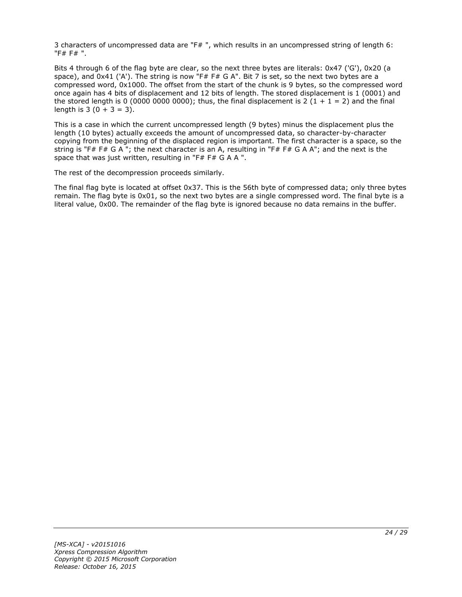3 characters of uncompressed data are "F# ", which results in an uncompressed string of length 6: "F# F# ".

Bits 4 through 6 of the flag byte are clear, so the next three bytes are literals: 0x47 ('G'), 0x20 (a space), and 0x41 ('A'). The string is now "F# F# G A". Bit 7 is set, so the next two bytes are a compressed word, 0x1000. The offset from the start of the chunk is 9 bytes, so the compressed word once again has 4 bits of displacement and 12 bits of length. The stored displacement is 1 (0001) and the stored length is 0 (0000 0000 0000); thus, the final displacement is 2 (1 + 1 = 2) and the final length is  $3(0 + 3 = 3)$ .

This is a case in which the current uncompressed length (9 bytes) minus the displacement plus the length (10 bytes) actually exceeds the amount of uncompressed data, so character-by-character copying from the beginning of the displaced region is important. The first character is a space, so the string is "F# F# G A "; the next character is an A, resulting in "F# F# G A A"; and the next is the space that was just written, resulting in "F# F# G A A ".

The rest of the decompression proceeds similarly.

The final flag byte is located at offset 0x37. This is the 56th byte of compressed data; only three bytes remain. The flag byte is 0x01, so the next two bytes are a single compressed word. The final byte is a literal value, 0x00. The remainder of the flag byte is ignored because no data remains in the buffer.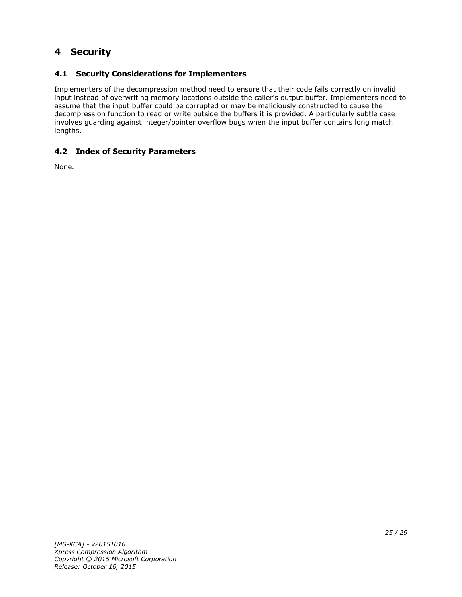## <span id="page-24-0"></span>**4 Security**

## <span id="page-24-1"></span>**4.1 Security Considerations for Implementers**

Implementers of the decompression method need to ensure that their code fails correctly on invalid input instead of overwriting memory locations outside the caller's output buffer. Implementers need to assume that the input buffer could be corrupted or may be maliciously constructed to cause the decompression function to read or write outside the buffers it is provided. A particularly subtle case involves guarding against integer/pointer overflow bugs when the input buffer contains long match lengths.

## <span id="page-24-2"></span>**4.2 Index of Security Parameters**

None.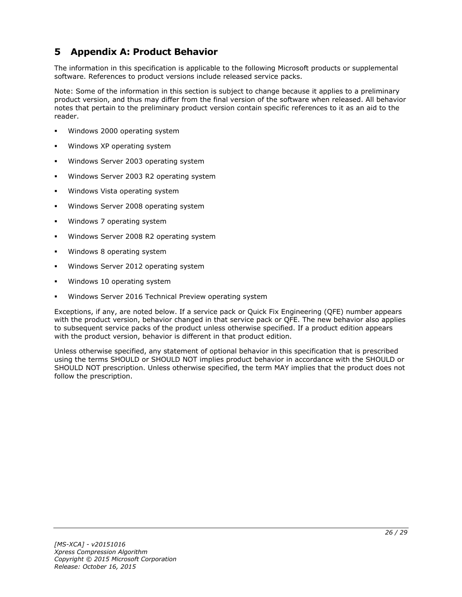## <span id="page-25-0"></span>**5 Appendix A: Product Behavior**

The information in this specification is applicable to the following Microsoft products or supplemental software. References to product versions include released service packs.

Note: Some of the information in this section is subject to change because it applies to a preliminary product version, and thus may differ from the final version of the software when released. All behavior notes that pertain to the preliminary product version contain specific references to it as an aid to the reader.

- Windows 2000 operating system
- Windows XP operating system
- Windows Server 2003 operating system
- Windows Server 2003 R2 operating system
- Windows Vista operating system
- Windows Server 2008 operating system
- Windows 7 operating system
- Windows Server 2008 R2 operating system
- Windows 8 operating system
- Windows Server 2012 operating system
- Windows 10 operating system
- Windows Server 2016 Technical Preview operating system

Exceptions, if any, are noted below. If a service pack or Quick Fix Engineering (QFE) number appears with the product version, behavior changed in that service pack or QFE. The new behavior also applies to subsequent service packs of the product unless otherwise specified. If a product edition appears with the product version, behavior is different in that product edition.

Unless otherwise specified, any statement of optional behavior in this specification that is prescribed using the terms SHOULD or SHOULD NOT implies product behavior in accordance with the SHOULD or SHOULD NOT prescription. Unless otherwise specified, the term MAY implies that the product does not follow the prescription.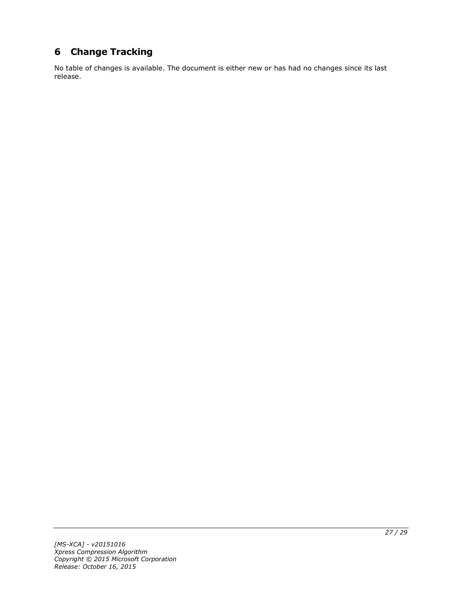# <span id="page-26-0"></span>**6 Change Tracking**

No table of changes is available. The document is either new or has had no changes since its last release.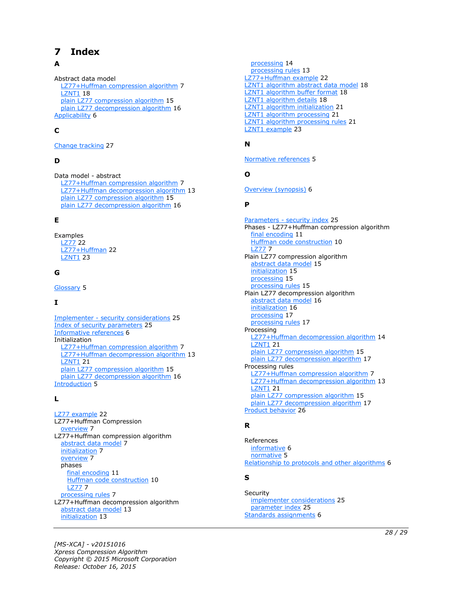# <span id="page-27-0"></span>**7 Index**

## **A**

Abstract data model [LZ77+Huffman compression algorithm](#page-6-2) 7 [LZNT1](#page-17-1) 18 [plain LZ77 compression algorithm](#page-14-1) 15 [plain LZ77 decompression algorithm](#page-15-1) 16 [Applicability](#page-5-3) 6

## **C**

[Change tracking](#page-26-0) 27

## **D**

Data model - abstract [LZ77+Huffman compression algorithm](#page-6-2) 7 [LZ77+Huffman decompression algorithm](#page-12-1) 13 [plain LZ77 compression algorithm](#page-14-1) 15 [plain LZ77 decompression algorithm](#page-15-1) 16

### **E**

Examples [LZ77](#page-21-1) 22 [LZ77+Huffman](#page-21-2) 22 [LZNT1](#page-22-0) 23

#### **G**

[Glossary](#page-4-1) 5

## **I**

Implementer - [security considerations](#page-24-1) 25 [Index of security parameters](#page-24-2) 25 [Informative references](#page-5-0) 6 Initialization [LZ77+Huffman compression algorithm](#page-6-3) 7 [LZ77+Huffman decompression algorithm](#page-12-2) 13 [LZNT1](#page-20-0) 21 [plain LZ77 compression algorithm](#page-14-2) 15 [plain LZ77 decompression algorithm](#page-15-2) 16 [Introduction](#page-4-0) 5

#### **L**

[LZ77 example](#page-21-1) 22 LZ77+Huffman Compression [overview](#page-6-1) 7 LZ77+Huffman compression algorithm [abstract data model](#page-6-2) 7 [initialization](#page-6-3) 7 [overview](#page-6-1) 7 phases [final encoding](#page-10-0) 11 [Huffman code construction](#page-9-0) 10 [LZ77](#page-6-6) 7 [processing rules](#page-6-4) 7 LZ77+Huffman decompression algorithm [abstract data model](#page-12-1) 13 [initialization](#page-12-2) 13

 [processing](#page-13-0) 14 [processing rules](#page-12-3) 13 [LZ77+Huffman example](#page-21-2) 22 [LZNT1 algorithm abstract data model](#page-17-1) 18 [LZNT1 algorithm buffer format](#page-17-2) 18 [LZNT1 algorithm details](#page-17-0) 18 [LZNT1 algorithm initialization](#page-20-0) 21 [LZNT1 algorithm processing](#page-20-2) 21 [LZNT1 algorithm processing rules](#page-20-1) 21 [LZNT1 example](#page-22-0) 23

### **N**

[Normative references](#page-4-3) 5

### **O**

[Overview \(synopsis\)](#page-5-1) 6

#### **P**

Parameters - [security index](#page-24-2) 25 Phases - LZ77+Huffman compression algorithm [final encoding](#page-10-0) 11 [Huffman code construction](#page-9-0) 10 [LZ77](#page-6-6) 7 Plain LZ77 compression algorithm [abstract data model](#page-14-1) 15 [initialization](#page-14-2) 15 [processing](#page-14-4) 15 [processing rules](#page-14-3) 15 Plain LZ77 decompression algorithm [abstract data model](#page-15-1) 16 [initialization](#page-15-2) 16 [processing](#page-16-1) 17 [processing rules](#page-16-0) 17 Processing [LZ77+Huffman decompression algorithm](#page-13-0) 14 **[LZNT1](#page-20-2) 21** [plain LZ77 compression algorithm](#page-14-4) 15 [plain LZ77 decompression algorithm](#page-16-1) 17 Processing rules [LZ77+Huffman compression algorithm](#page-6-4) 7 [LZ77+Huffman decompression algorithm](#page-12-3) 13 [LZNT1](#page-20-1) 21 [plain LZ77 compression algorithm](#page-14-3) 15 [plain LZ77 decompression algorithm](#page-16-0) 17 [Product behavior](#page-25-0) 26

## **R**

References [informative](#page-5-0) 6 [normative](#page-4-3) 5 [Relationship to protocols and other algorithms](#page-5-2) 6

#### **S**

**Security**  [implementer considerations](#page-24-1) 25 [parameter index](#page-24-2) 25 [Standards assignments](#page-5-4) 6

*[MS-XCA] - v20151016 Xpress Compression Algorithm Copyright © 2015 Microsoft Corporation Release: October 16, 2015*